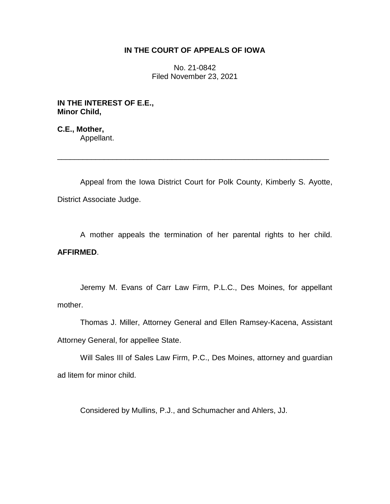## **IN THE COURT OF APPEALS OF IOWA**

No. 21-0842 Filed November 23, 2021

**IN THE INTEREST OF E.E., Minor Child,**

**C.E., Mother,** Appellant.

Appeal from the Iowa District Court for Polk County, Kimberly S. Ayotte, District Associate Judge.

\_\_\_\_\_\_\_\_\_\_\_\_\_\_\_\_\_\_\_\_\_\_\_\_\_\_\_\_\_\_\_\_\_\_\_\_\_\_\_\_\_\_\_\_\_\_\_\_\_\_\_\_\_\_\_\_\_\_\_\_\_\_\_\_

A mother appeals the termination of her parental rights to her child. **AFFIRMED**.

Jeremy M. Evans of Carr Law Firm, P.L.C., Des Moines, for appellant mother.

Thomas J. Miller, Attorney General and Ellen Ramsey-Kacena, Assistant Attorney General, for appellee State.

Will Sales III of Sales Law Firm, P.C., Des Moines, attorney and guardian ad litem for minor child.

Considered by Mullins, P.J., and Schumacher and Ahlers, JJ.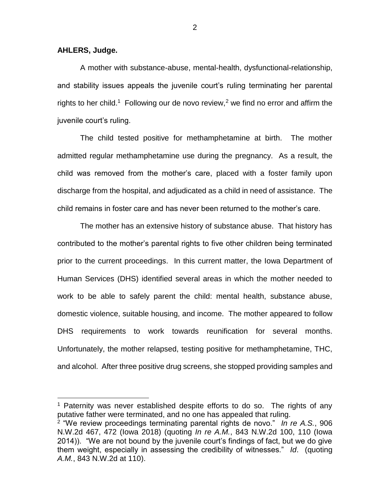**AHLERS, Judge.**

 $\overline{a}$ 

A mother with substance-abuse, mental-health, dysfunctional-relationship, and stability issues appeals the juvenile court's ruling terminating her parental rights to her child.<sup>1</sup> Following our de novo review,<sup>2</sup> we find no error and affirm the juvenile court's ruling.

The child tested positive for methamphetamine at birth. The mother admitted regular methamphetamine use during the pregnancy. As a result, the child was removed from the mother's care, placed with a foster family upon discharge from the hospital, and adjudicated as a child in need of assistance. The child remains in foster care and has never been returned to the mother's care.

The mother has an extensive history of substance abuse. That history has contributed to the mother's parental rights to five other children being terminated prior to the current proceedings. In this current matter, the Iowa Department of Human Services (DHS) identified several areas in which the mother needed to work to be able to safely parent the child: mental health, substance abuse, domestic violence, suitable housing, and income. The mother appeared to follow DHS requirements to work towards reunification for several months. Unfortunately, the mother relapsed, testing positive for methamphetamine, THC, and alcohol. After three positive drug screens, she stopped providing samples and

2

 $1$  Paternity was never established despite efforts to do so. The rights of any putative father were terminated, and no one has appealed that ruling.

<sup>2</sup> "We review proceedings terminating parental rights de novo." *In re A.S.*, 906 N.W.2d 467, 472 (Iowa 2018) (quoting *In re A.M.*, 843 N.W.2d 100, 110 (Iowa 2014)). "We are not bound by the juvenile court's findings of fact, but we do give them weight, especially in assessing the credibility of witnesses." *Id*. (quoting *A.M.*, 843 N.W.2d at 110).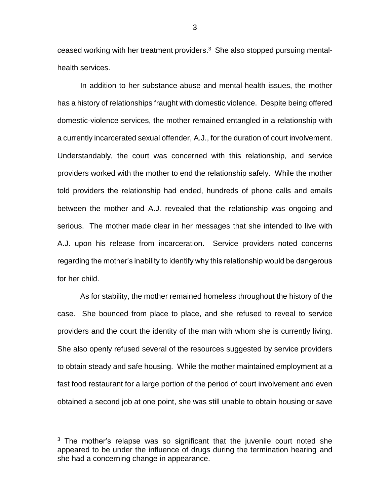ceased working with her treatment providers. $3$  She also stopped pursuing mentalhealth services.

In addition to her substance-abuse and mental-health issues, the mother has a history of relationships fraught with domestic violence. Despite being offered domestic-violence services, the mother remained entangled in a relationship with a currently incarcerated sexual offender, A.J., for the duration of court involvement. Understandably, the court was concerned with this relationship, and service providers worked with the mother to end the relationship safely. While the mother told providers the relationship had ended, hundreds of phone calls and emails between the mother and A.J. revealed that the relationship was ongoing and serious. The mother made clear in her messages that she intended to live with A.J. upon his release from incarceration. Service providers noted concerns regarding the mother's inability to identify why this relationship would be dangerous for her child.

As for stability, the mother remained homeless throughout the history of the case. She bounced from place to place, and she refused to reveal to service providers and the court the identity of the man with whom she is currently living. She also openly refused several of the resources suggested by service providers to obtain steady and safe housing. While the mother maintained employment at a fast food restaurant for a large portion of the period of court involvement and even obtained a second job at one point, she was still unable to obtain housing or save

 $\overline{a}$ 

3

 $3$  The mother's relapse was so significant that the juvenile court noted she appeared to be under the influence of drugs during the termination hearing and she had a concerning change in appearance.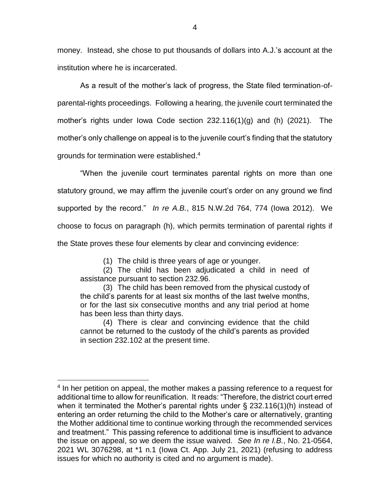money. Instead, she chose to put thousands of dollars into A.J.'s account at the institution where he is incarcerated.

As a result of the mother's lack of progress, the State filed termination-ofparental-rights proceedings. Following a hearing, the juvenile court terminated the mother's rights under Iowa Code section 232.116(1)(g) and (h) (2021). The mother's only challenge on appeal is to the juvenile court's finding that the statutory grounds for termination were established.<sup>4</sup>

"When the juvenile court terminates parental rights on more than one statutory ground, we may affirm the juvenile court's order on any ground we find supported by the record." *In re A.B.*, 815 N.W.2d 764, 774 (Iowa 2012). We choose to focus on paragraph (h), which permits termination of parental rights if the State proves these four elements by clear and convincing evidence:

(1) The child is three years of age or younger.

(2) The child has been adjudicated a child in need of assistance pursuant to section 232.96.

(3) The child has been removed from the physical custody of the child's parents for at least six months of the last twelve months, or for the last six consecutive months and any trial period at home has been less than thirty days.

(4) There is clear and convincing evidence that the child cannot be returned to the custody of the child's parents as provided in section 232.102 at the present time.

 $\overline{a}$ 

<sup>&</sup>lt;sup>4</sup> In her petition on appeal, the mother makes a passing reference to a request for additional time to allow for reunification. It reads: "Therefore, the district court erred when it terminated the Mother's parental rights under § 232.116(1)(h) instead of entering an order returning the child to the Mother's care or alternatively, granting the Mother additional time to continue working through the recommended services and treatment." This passing reference to additional time is insufficient to advance the issue on appeal, so we deem the issue waived. *See In re I.B.*, No. 21-0564, 2021 WL 3076298, at \*1 n.1 (Iowa Ct. App. July 21, 2021) (refusing to address issues for which no authority is cited and no argument is made).